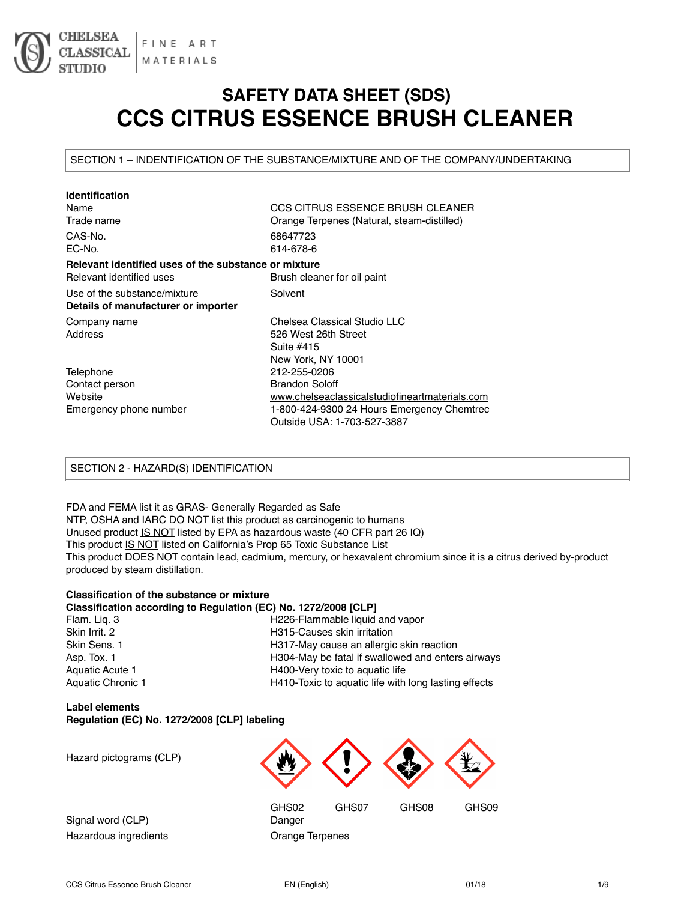

# **SAFETY DATA SHEET (SDS) CCS CITRUS ESSENCE BRUSH CLEANER**

SECTION 1 – INDENTIFICATION OF THE SUBSTANCE/MIXTURE AND OF THE COMPANY/UNDERTAKING

| <b>Identification</b>                                |                                                |
|------------------------------------------------------|------------------------------------------------|
| Name                                                 | CCS CITRUS ESSENCE BRUSH CLEANER               |
| Trade name                                           | Orange Terpenes (Natural, steam-distilled)     |
| CAS-No.                                              | 68647723                                       |
| EC-No.                                               | 614-678-6                                      |
| Relevant identified uses of the substance or mixture |                                                |
| Relevant identified uses                             | Brush cleaner for oil paint                    |
| Use of the substance/mixture                         | Solvent                                        |
| Details of manufacturer or importer                  |                                                |
| Company name                                         | Chelsea Classical Studio LLC                   |
| Address                                              | 526 West 26th Street                           |
|                                                      | Suite #415                                     |
|                                                      | New York, NY 10001                             |
| Telephone                                            | 212-255-0206                                   |
| Contact person                                       | <b>Brandon Soloff</b>                          |
| Website                                              | www.chelseaclassicalstudiofineartmaterials.com |
| Emergency phone number                               | 1-800-424-9300 24 Hours Emergency Chemtrec     |
|                                                      | Outside USA: 1-703-527-3887                    |

# SECTION 2 - HAZARD(S) IDENTIFICATION

FDA and FEMA list it as GRAS- Generally Regarded as Safe NTP, OSHA and IARC DO NOT list this product as carcinogenic to humans Unused product IS NOT listed by EPA as hazardous waste (40 CFR part 26 IQ) This product IS NOT listed on California's Prop 65 Toxic Substance List This product **DOES NOT** contain lead, cadmium, mercury, or hexavalent chromium since it is a citrus derived by-product produced by steam distillation.

#### **Classification of the substance or mixture Classification according to Regulation (EC) No. 1272/2008 [CLP]**

| Flam. Lig. 3      | H226-Flammable liquid and vapor                      |
|-------------------|------------------------------------------------------|
| Skin Irrit, 2     | H315-Causes skin irritation                          |
| Skin Sens. 1      | H317-May cause an allergic skin reaction             |
| Asp. Tox. 1       | H304-May be fatal if swallowed and enters airways    |
| Aquatic Acute 1   | H400-Very toxic to aquatic life                      |
| Aquatic Chronic 1 | H410-Toxic to aquatic life with long lasting effects |
|                   |                                                      |

# **Label elements Regulation (EC) No. 1272/2008 [CLP] labeling**

Hazard pictograms (CLP)

Signal word (CLP) Danger Hazardous ingredients **Constants** Orange Terpenes

GHS02 GHS07 GHS08 GHS09

CCS Citrus Essence Brush Cleaner **EN (English)** CCS Citrus Essence Brush Cleaner 1/9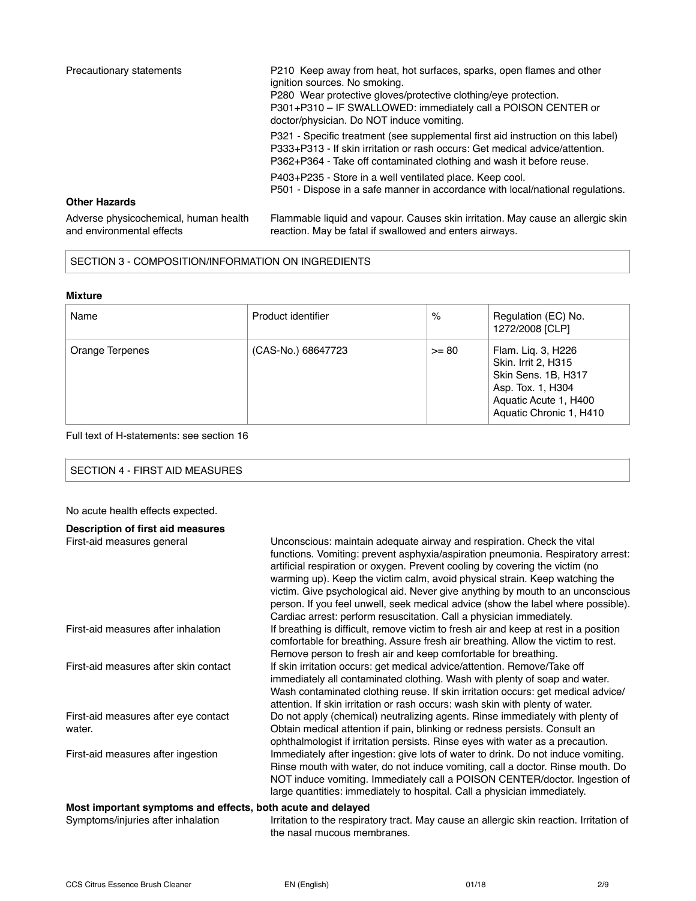| Precautionary statements                                           | P210 Keep away from heat, hot surfaces, sparks, open flames and other<br>janition sources. No smoking.<br>P280 Wear protective gloves/protective clothing/eye protection.<br>P301+P310 - IF SWALLOWED: immediately call a POISON CENTER or<br>doctor/physician. Do NOT induce vomiting. |
|--------------------------------------------------------------------|-----------------------------------------------------------------------------------------------------------------------------------------------------------------------------------------------------------------------------------------------------------------------------------------|
|                                                                    | P321 - Specific treatment (see supplemental first aid instruction on this label)<br>P333+P313 - If skin irritation or rash occurs: Get medical advice/attention.<br>P362+P364 - Take off contaminated clothing and wash it before reuse.                                                |
|                                                                    | P403+P235 - Store in a well ventilated place. Keep cool.<br>P501 - Dispose in a safe manner in accordance with local/national regulations.                                                                                                                                              |
| <b>Other Hazards</b>                                               |                                                                                                                                                                                                                                                                                         |
| Adverse physicochemical, human health<br>and environmental effects | Flammable liquid and vapour. Causes skin irritation. May cause an allergic skin<br>reaction. May be fatal if swallowed and enters airways.                                                                                                                                              |

# SECTION 3 - COMPOSITION/INFORMATION ON INGREDIENTS

# **Mixture**

| Name            | Product identifier | $\%$    | Regulation (EC) No.<br>1272/2008 [CLP]                                                                                                    |
|-----------------|--------------------|---------|-------------------------------------------------------------------------------------------------------------------------------------------|
| Orange Terpenes | (CAS-No.) 68647723 | $>= 80$ | Flam. Lig. 3, H226<br>Skin. Irrit 2, H315<br>Skin Sens. 1B, H317<br>Asp. Tox. 1, H304<br>Aquatic Acute 1, H400<br>Aquatic Chronic 1, H410 |

# Full text of H-statements: see section 16

# No acute health effects expected.

| Description of first aid measures                           |                                                                                                                                                                                                                                                                                                                                                                                                                                                                                                                                                                        |
|-------------------------------------------------------------|------------------------------------------------------------------------------------------------------------------------------------------------------------------------------------------------------------------------------------------------------------------------------------------------------------------------------------------------------------------------------------------------------------------------------------------------------------------------------------------------------------------------------------------------------------------------|
| First-aid measures general                                  | Unconscious: maintain adequate airway and respiration. Check the vital<br>functions. Vomiting: prevent asphyxia/aspiration pneumonia. Respiratory arrest:<br>artificial respiration or oxygen. Prevent cooling by covering the victim (no<br>warming up). Keep the victim calm, avoid physical strain. Keep watching the<br>victim. Give psychological aid. Never give anything by mouth to an unconscious<br>person. If you feel unwell, seek medical advice (show the label where possible).<br>Cardiac arrest: perform resuscitation. Call a physician immediately. |
| First-aid measures after inhalation                         | If breathing is difficult, remove victim to fresh air and keep at rest in a position<br>comfortable for breathing. Assure fresh air breathing. Allow the victim to rest.<br>Remove person to fresh air and keep comfortable for breathing.                                                                                                                                                                                                                                                                                                                             |
| First-aid measures after skin contact                       | If skin irritation occurs: get medical advice/attention. Remove/Take off<br>immediately all contaminated clothing. Wash with plenty of soap and water.<br>Wash contaminated clothing reuse. If skin irritation occurs: get medical advice/<br>attention. If skin irritation or rash occurs: wash skin with plenty of water.                                                                                                                                                                                                                                            |
| First-aid measures after eye contact<br>water.              | Do not apply (chemical) neutralizing agents. Rinse immediately with plenty of<br>Obtain medical attention if pain, blinking or redness persists. Consult an<br>ophthalmologist if irritation persists. Rinse eyes with water as a precaution.                                                                                                                                                                                                                                                                                                                          |
| First-aid measures after ingestion                          | Immediately after ingestion: give lots of water to drink. Do not induce vomiting.<br>Rinse mouth with water, do not induce vomiting, call a doctor. Rinse mouth. Do<br>NOT induce vomiting. Immediately call a POISON CENTER/doctor. Ingestion of<br>large quantities: immediately to hospital. Call a physician immediately.                                                                                                                                                                                                                                          |
| Most important symptoms and effects, both acute and delayed |                                                                                                                                                                                                                                                                                                                                                                                                                                                                                                                                                                        |
| Symptoms/injuries after inhalation                          | Irritation to the respiratory tract. May cause an allergic skin reaction. Irritation of                                                                                                                                                                                                                                                                                                                                                                                                                                                                                |

the nasal mucous membranes.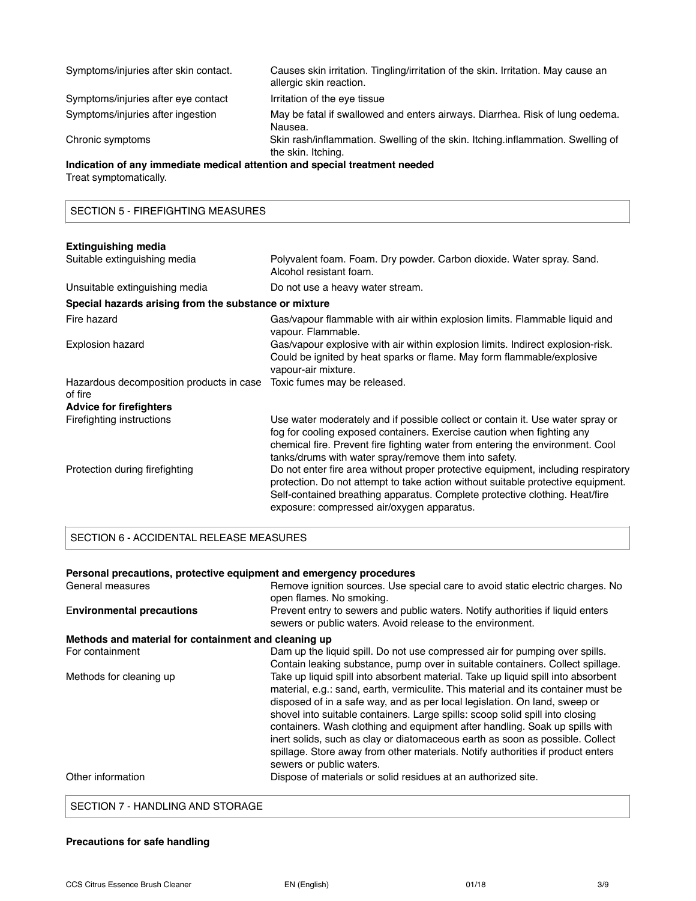| Symptoms/injuries after skin contact.                                      | Causes skin irritation. Tingling/irritation of the skin. Irritation. May cause an<br>allergic skin reaction. |
|----------------------------------------------------------------------------|--------------------------------------------------------------------------------------------------------------|
| Symptoms/injuries after eye contact                                        | Irritation of the eye tissue                                                                                 |
| Symptoms/injuries after ingestion                                          | May be fatal if swallowed and enters airways. Diarrhea. Risk of lung oedema.<br>Nausea.                      |
| Chronic symptoms                                                           | Skin rash/inflammation. Swelling of the skin. Itching.inflammation. Swelling of<br>the skin. Itching.        |
| Indication of any immediate medical attention and special treatment needed |                                                                                                              |
| Treat symptomatically.                                                     |                                                                                                              |

SECTION 5 - FIREFIGHTING MEASURES

| <b>Extinguishing media</b>                            |                                                                                                                                                                                                                                                                                                     |
|-------------------------------------------------------|-----------------------------------------------------------------------------------------------------------------------------------------------------------------------------------------------------------------------------------------------------------------------------------------------------|
| Suitable extinguishing media                          | Polyvalent foam. Foam. Dry powder. Carbon dioxide. Water spray. Sand.<br>Alcohol resistant foam.                                                                                                                                                                                                    |
| Unsuitable extinguishing media                        | Do not use a heavy water stream.                                                                                                                                                                                                                                                                    |
| Special hazards arising from the substance or mixture |                                                                                                                                                                                                                                                                                                     |
| Fire hazard                                           | Gas/vapour flammable with air within explosion limits. Flammable liquid and<br>vapour. Flammable.                                                                                                                                                                                                   |
| Explosion hazard                                      | Gas/vapour explosive with air within explosion limits. Indirect explosion-risk.<br>Could be ignited by heat sparks or flame. May form flammable/explosive<br>vapour-air mixture.                                                                                                                    |
| Hazardous decomposition products in case<br>of fire   | Toxic fumes may be released.                                                                                                                                                                                                                                                                        |
| <b>Advice for firefighters</b>                        |                                                                                                                                                                                                                                                                                                     |
| Firefighting instructions                             | Use water moderately and if possible collect or contain it. Use water spray or<br>fog for cooling exposed containers. Exercise caution when fighting any<br>chemical fire. Prevent fire fighting water from entering the environment. Cool<br>tanks/drums with water spray/remove them into safety. |
| Protection during firefighting                        | Do not enter fire area without proper protective equipment, including respiratory<br>protection. Do not attempt to take action without suitable protective equipment.<br>Self-contained breathing apparatus. Complete protective clothing. Heat/fire<br>exposure: compressed air/oxygen apparatus.  |

# SECTION 6 - ACCIDENTAL RELEASE MEASURES

| Personal precautions, protective equipment and emergency procedures |                                                                                                                                                                                                                                                                                                                                                                                                                                                                                                                                                                                                                      |
|---------------------------------------------------------------------|----------------------------------------------------------------------------------------------------------------------------------------------------------------------------------------------------------------------------------------------------------------------------------------------------------------------------------------------------------------------------------------------------------------------------------------------------------------------------------------------------------------------------------------------------------------------------------------------------------------------|
| General measures                                                    | Remove ignition sources. Use special care to avoid static electric charges. No<br>open flames. No smoking.                                                                                                                                                                                                                                                                                                                                                                                                                                                                                                           |
| <b>Environmental precautions</b>                                    | Prevent entry to sewers and public waters. Notify authorities if liquid enters<br>sewers or public waters. Avoid release to the environment.                                                                                                                                                                                                                                                                                                                                                                                                                                                                         |
| Methods and material for containment and cleaning up                |                                                                                                                                                                                                                                                                                                                                                                                                                                                                                                                                                                                                                      |
| For containment                                                     | Dam up the liquid spill. Do not use compressed air for pumping over spills.<br>Contain leaking substance, pump over in suitable containers. Collect spillage.                                                                                                                                                                                                                                                                                                                                                                                                                                                        |
| Methods for cleaning up                                             | Take up liquid spill into absorbent material. Take up liquid spill into absorbent<br>material, e.g.: sand, earth, vermiculite. This material and its container must be<br>disposed of in a safe way, and as per local legislation. On land, sweep or<br>shovel into suitable containers. Large spills: scoop solid spill into closing<br>containers. Wash clothing and equipment after handling. Soak up spills with<br>inert solids, such as clay or diatomaceous earth as soon as possible. Collect<br>spillage. Store away from other materials. Notify authorities if product enters<br>sewers or public waters. |
| Other information                                                   | Dispose of materials or solid residues at an authorized site.                                                                                                                                                                                                                                                                                                                                                                                                                                                                                                                                                        |
|                                                                     |                                                                                                                                                                                                                                                                                                                                                                                                                                                                                                                                                                                                                      |

SECTION 7 - HANDLING AND STORAGE

# **Precautions for safe handling**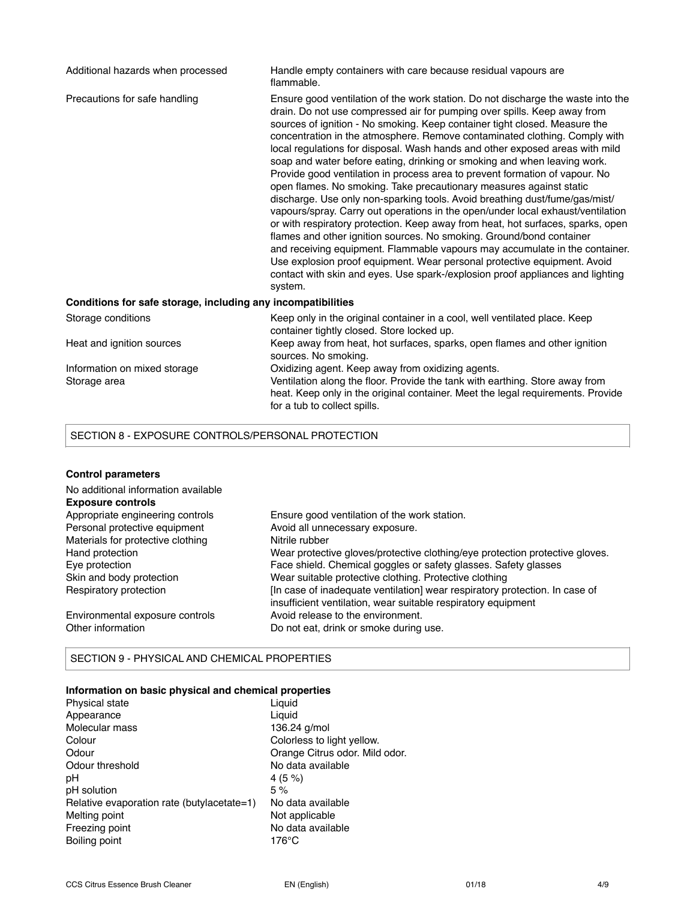| Additional hazards when processed                            | Handle empty containers with care because residual vapours are<br>flammable.                                                                                                                                                                                                                                                                                                                                                                                                                                                                                                                                                                                                                                                                                                                                                                                                                                                                                                                                                                                                                                                                                                                                                    |
|--------------------------------------------------------------|---------------------------------------------------------------------------------------------------------------------------------------------------------------------------------------------------------------------------------------------------------------------------------------------------------------------------------------------------------------------------------------------------------------------------------------------------------------------------------------------------------------------------------------------------------------------------------------------------------------------------------------------------------------------------------------------------------------------------------------------------------------------------------------------------------------------------------------------------------------------------------------------------------------------------------------------------------------------------------------------------------------------------------------------------------------------------------------------------------------------------------------------------------------------------------------------------------------------------------|
| Precautions for safe handling                                | Ensure good ventilation of the work station. Do not discharge the waste into the<br>drain. Do not use compressed air for pumping over spills. Keep away from<br>sources of ignition - No smoking. Keep container tight closed. Measure the<br>concentration in the atmosphere. Remove contaminated clothing. Comply with<br>local regulations for disposal. Wash hands and other exposed areas with mild<br>soap and water before eating, drinking or smoking and when leaving work.<br>Provide good ventilation in process area to prevent formation of vapour. No<br>open flames. No smoking. Take precautionary measures against static<br>discharge. Use only non-sparking tools. Avoid breathing dust/fume/gas/mist/<br>vapours/spray. Carry out operations in the open/under local exhaust/ventilation<br>or with respiratory protection. Keep away from heat, hot surfaces, sparks, open<br>flames and other ignition sources. No smoking. Ground/bond container<br>and receiving equipment. Flammable vapours may accumulate in the container.<br>Use explosion proof equipment. Wear personal protective equipment. Avoid<br>contact with skin and eyes. Use spark-/explosion proof appliances and lighting<br>system. |
| Conditions for safe storage, including any incompatibilities |                                                                                                                                                                                                                                                                                                                                                                                                                                                                                                                                                                                                                                                                                                                                                                                                                                                                                                                                                                                                                                                                                                                                                                                                                                 |
| Storage conditions                                           | Keep only in the original container in a cool, well ventilated place. Keep<br>container tightly closed. Store locked up.                                                                                                                                                                                                                                                                                                                                                                                                                                                                                                                                                                                                                                                                                                                                                                                                                                                                                                                                                                                                                                                                                                        |
| Heat and ignition sources                                    | Keep away from heat, hot surfaces, sparks, open flames and other ignition<br>sources. No smoking.                                                                                                                                                                                                                                                                                                                                                                                                                                                                                                                                                                                                                                                                                                                                                                                                                                                                                                                                                                                                                                                                                                                               |
| Information on mixed storage<br>Storage area                 | Oxidizing agent. Keep away from oxidizing agents.<br>Ventilation along the floor. Provide the tank with earthing. Store away from<br>heat. Keep only in the original container. Meet the legal requirements. Provide<br>for a tub to collect spills.                                                                                                                                                                                                                                                                                                                                                                                                                                                                                                                                                                                                                                                                                                                                                                                                                                                                                                                                                                            |

# SECTION 8 - EXPOSURE CONTROLS/PERSONAL PROTECTION

# **Control parameters**

| No additional information available |                                                                              |
|-------------------------------------|------------------------------------------------------------------------------|
| <b>Exposure controls</b>            |                                                                              |
| Appropriate engineering controls    | Ensure good ventilation of the work station.                                 |
| Personal protective equipment       | Avoid all unnecessary exposure.                                              |
| Materials for protective clothing   | Nitrile rubber                                                               |
| Hand protection                     | Wear protective gloves/protective clothing/eye protection protective gloves. |
| Eye protection                      | Face shield. Chemical goggles or safety glasses. Safety glasses              |
| Skin and body protection            | Wear suitable protective clothing. Protective clothing                       |
| Respiratory protection              | [In case of inadequate ventilation] wear respiratory protection. In case of  |
|                                     | insufficient ventilation, wear suitable respiratory equipment                |
| Environmental exposure controls     | Avoid release to the environment.                                            |
| Other information                   | Do not eat, drink or smoke during use.                                       |

# SECTION 9 - PHYSICAL AND CHEMICAL PROPERTIES

# **Information on basic physical and chemical properties**

| Physical state                             | Liguid                         |
|--------------------------------------------|--------------------------------|
| Appearance                                 | Liguid                         |
| Molecular mass                             | 136.24 g/mol                   |
| Colour                                     | Colorless to light yellow.     |
| Odour                                      | Orange Citrus odor. Mild odor. |
| Odour threshold                            | No data available              |
| рH                                         | 4(5%)                          |
| pH solution                                | 5%                             |
| Relative evaporation rate (butylacetate=1) | No data available              |
| Melting point                              | Not applicable                 |
| Freezing point                             | No data available              |
| Boiling point                              | 176°C                          |
|                                            |                                |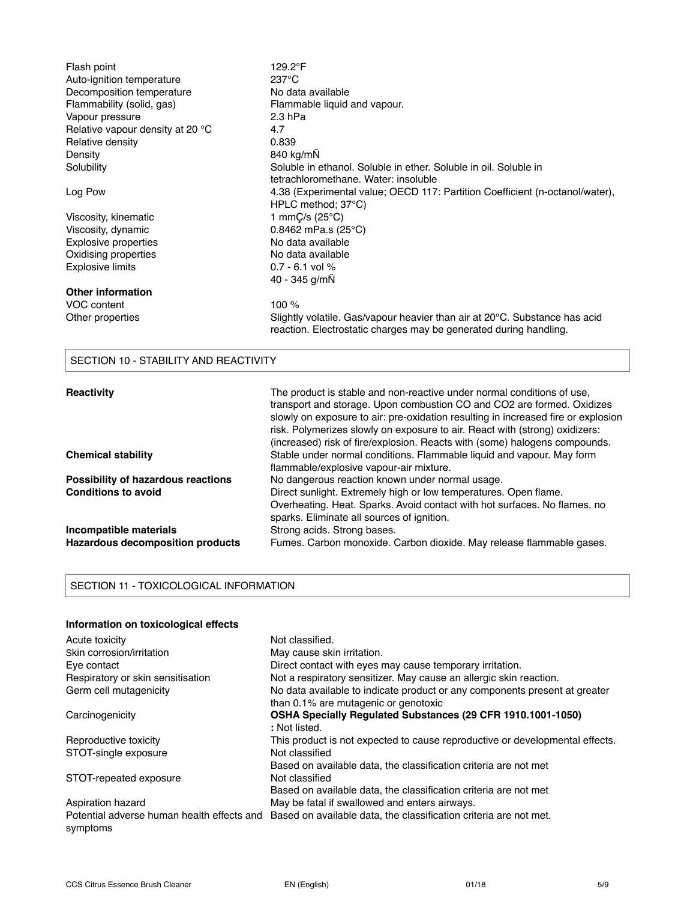| Flash point<br>Auto-ignition temperature<br>Decomposition temperature<br>Flammability (solid, gas)<br>Vapour pressure<br>Relative vapour density at 20 °C<br>Relative density<br>Density<br>Solubility | 129.2°F<br>$237^{\circ}$ C<br>No data available<br>Flammable liquid and vapour.<br>$2.3$ hPa<br>4.7<br>0.839<br>840 kg/mN<br>Soluble in ethanol. Soluble in ether. Soluble in oil. Soluble in<br>tetrachloromethane. Water: insoluble                                                                                                                                                              |
|--------------------------------------------------------------------------------------------------------------------------------------------------------------------------------------------------------|----------------------------------------------------------------------------------------------------------------------------------------------------------------------------------------------------------------------------------------------------------------------------------------------------------------------------------------------------------------------------------------------------|
| Log Pow                                                                                                                                                                                                | 4.38 (Experimental value; OECD 117: Partition Coefficient (n-octanol/water),<br>HPLC method; 37°C)                                                                                                                                                                                                                                                                                                 |
| Viscosity, kinematic                                                                                                                                                                                   | 1 mm $C/s$ (25 $°C$ )                                                                                                                                                                                                                                                                                                                                                                              |
| Viscosity, dynamic                                                                                                                                                                                     | $0.8462$ mPa.s (25 $^{\circ}$ C)                                                                                                                                                                                                                                                                                                                                                                   |
| Explosive properties                                                                                                                                                                                   | No data available                                                                                                                                                                                                                                                                                                                                                                                  |
| Oxidising properties                                                                                                                                                                                   | No data available                                                                                                                                                                                                                                                                                                                                                                                  |
| <b>Explosive limits</b>                                                                                                                                                                                | $0.7 - 6.1$ vol %                                                                                                                                                                                                                                                                                                                                                                                  |
|                                                                                                                                                                                                        | 40 - 345 g/mÑ                                                                                                                                                                                                                                                                                                                                                                                      |
| <b>Other information</b>                                                                                                                                                                               |                                                                                                                                                                                                                                                                                                                                                                                                    |
| VOC content                                                                                                                                                                                            | 100 %                                                                                                                                                                                                                                                                                                                                                                                              |
| Other properties                                                                                                                                                                                       | Slightly volatile. Gas/vapour heavier than air at 20°C. Substance has acid<br>reaction. Electrostatic charges may be generated during handling.                                                                                                                                                                                                                                                    |
| SECTION 10 - STABILITY AND REACTIVITY                                                                                                                                                                  |                                                                                                                                                                                                                                                                                                                                                                                                    |
| Reactivity                                                                                                                                                                                             | The product is stable and non-reactive under normal conditions of use,<br>transport and storage. Upon combustion CO and CO2 are formed. Oxidizes<br>slowly on exposure to air: pre-oxidation resulting in increased fire or explosion<br>risk. Polymerizes slowly on exposure to air. React with (strong) oxidizers:<br>(increased) risk of fire/explosion. Reacts with (some) halogens compounds. |
| <b>Chemical stability</b>                                                                                                                                                                              | Stable under normal conditions. Flammable liquid and vapour. May form<br>flammable/explosive vapour-air mixture.                                                                                                                                                                                                                                                                                   |
| Possibility of hazardous reactions                                                                                                                                                                     | No dangerous reaction known under normal usage.                                                                                                                                                                                                                                                                                                                                                    |
| <b>Conditions to avoid</b>                                                                                                                                                                             | Direct sunlight. Extremely high or low temperatures. Open flame.                                                                                                                                                                                                                                                                                                                                   |
|                                                                                                                                                                                                        | Overheating. Heat. Sparks. Avoid contact with hot surfaces. No flames, no                                                                                                                                                                                                                                                                                                                          |
|                                                                                                                                                                                                        | sparks. Eliminate all sources of ignition.                                                                                                                                                                                                                                                                                                                                                         |
| Incompatible materials                                                                                                                                                                                 | Strong acids. Strong bases.                                                                                                                                                                                                                                                                                                                                                                        |
| <b>Hazardous decomposition products</b>                                                                                                                                                                | Fumes. Carbon monoxide. Carbon dioxide. May release flammable gases.                                                                                                                                                                                                                                                                                                                               |

# SECTION 11 - TOXICOLOGICAL INFORMATION

# **Information on toxicological effects**

| Acute toxicity                                         | Not classified.                                                              |
|--------------------------------------------------------|------------------------------------------------------------------------------|
| Skin corrosion/irritation                              | May cause skin irritation.                                                   |
| Eye contact                                            | Direct contact with eyes may cause temporary irritation.                     |
| Respiratory or skin sensitisation                      | Not a respiratory sensitizer. May cause an allergic skin reaction.           |
| Germ cell mutagenicity                                 | No data available to indicate product or any components present at greater   |
|                                                        | than 0.1% are mutagenic or genotoxic                                         |
| Carcinogenicity                                        | OSHA Specially Regulated Substances (29 CFR 1910.1001-1050)                  |
|                                                        | : Not listed.                                                                |
| Reproductive toxicity                                  | This product is not expected to cause reproductive or developmental effects. |
| STOT-single exposure                                   | Not classified                                                               |
|                                                        | Based on available data, the classification criteria are not met             |
| STOT-repeated exposure                                 | Not classified                                                               |
|                                                        | Based on available data, the classification criteria are not met             |
| Aspiration hazard                                      | May be fatal if swallowed and enters airways.                                |
| Potential adverse human health effects and<br>symptoms | Based on available data, the classification criteria are not met.            |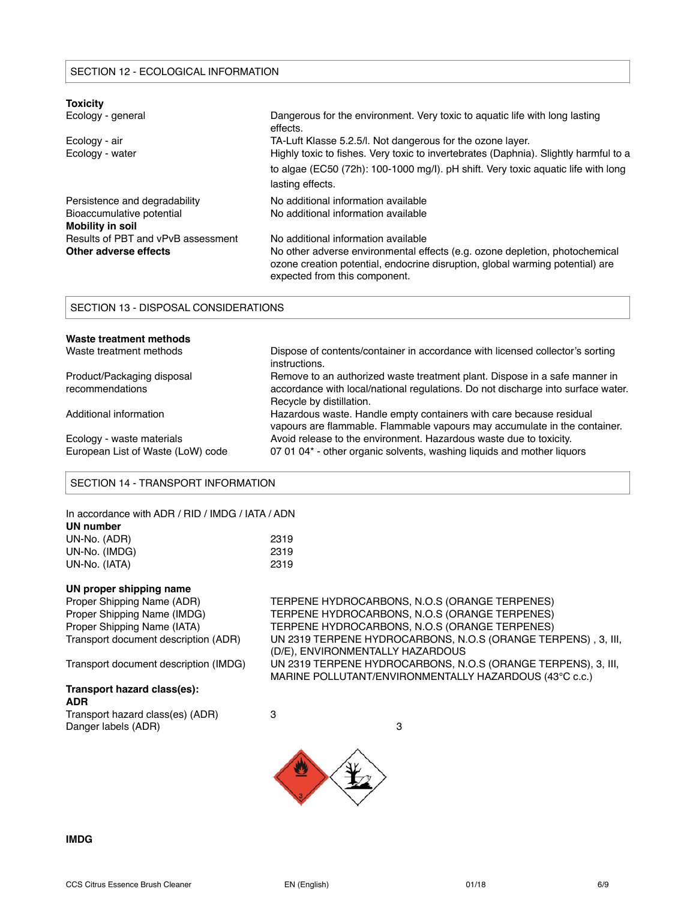| <b>Toxicity</b>                               |                                                                                                                                                                                               |
|-----------------------------------------------|-----------------------------------------------------------------------------------------------------------------------------------------------------------------------------------------------|
| Ecology - general                             | Dangerous for the environment. Very toxic to aquatic life with long lasting<br>effects.                                                                                                       |
| Ecology - air                                 | TA-Luft Klasse 5.2.5/l. Not dangerous for the ozone layer.                                                                                                                                    |
| Ecology - water                               | Highly toxic to fishes. Very toxic to invertebrates (Daphnia). Slightly harmful to a                                                                                                          |
|                                               | to algae (EC50 (72h): 100-1000 mg/l). pH shift. Very toxic aquatic life with long<br>lasting effects.                                                                                         |
| Persistence and degradability                 | No additional information available                                                                                                                                                           |
| Bioaccumulative potential<br>Mobility in soil | No additional information available                                                                                                                                                           |
| Results of PBT and vPvB assessment            | No additional information available                                                                                                                                                           |
| Other adverse effects                         | No other adverse environmental effects (e.g. ozone depletion, photochemical<br>ozone creation potential, endocrine disruption, global warming potential) are<br>expected from this component. |

# SECTION 13 - DISPOSAL CONSIDERATIONS

| Waste treatment methods           |                                                                                                |
|-----------------------------------|------------------------------------------------------------------------------------------------|
| Waste treatment methods           | Dispose of contents/container in accordance with licensed collector's sorting<br>instructions. |
| Product/Packaging disposal        | Remove to an authorized waste treatment plant. Dispose in a safe manner in                     |
| recommendations                   | accordance with local/national regulations. Do not discharge into surface water.               |
|                                   | Recycle by distillation.                                                                       |
| Additional information            | Hazardous waste. Handle empty containers with care because residual                            |
|                                   | vapours are flammable. Flammable vapours may accumulate in the container.                      |
| Ecology - waste materials         | Avoid release to the environment. Hazardous waste due to toxicity.                             |
| European List of Waste (LoW) code | 07 01 04* - other organic solvents, washing liquids and mother liquors                         |

#### SECTION 14 - TRANSPORT INFORMATION

| In accordance with ADR / RID / IMDG / IATA / ADN |      |
|--------------------------------------------------|------|
| UN number                                        |      |
| UN-No. (ADR)                                     | 2319 |
| UN-No. (IMDG)                                    | 2319 |
| UN-No. (IATA)                                    | 2319 |

# **UN proper shipping name**

# **Transport hazard class(es):**

**ADR** Transport hazard class(es) (ADR) 3 Danger labels (ADR) 3

Proper Shipping Name (ADR) TERPENE HYDROCARBONS, N.O.S (ORANGE TERPENES)<br>Proper Shipping Name (IMDG) TERPENE HYDROCARBONS, N.O.S (ORANGE TERPENES) TERPENE HYDROCARBONS, N.O.S (ORANGE TERPENES) Proper Shipping Name (IATA) TERPENE HYDROCARBONS, N.O.S (ORANGE TERPENES) Transport document description (ADR) UN 2319 TERPENE HYDROCARBONS, N.O.S (ORANGE TERPENS) , 3, III, (D/E), ENVIRONMENTALLY HAZARDOUS Transport document description (IMDG) UN 2319 TERPENE HYDROCARBONS, N.O.S (ORANGE TERPENS), 3, III, MARINE POLLUTANT/ENVIRONMENTALLY HAZARDOUS (43°C c.c.)



**IMDG**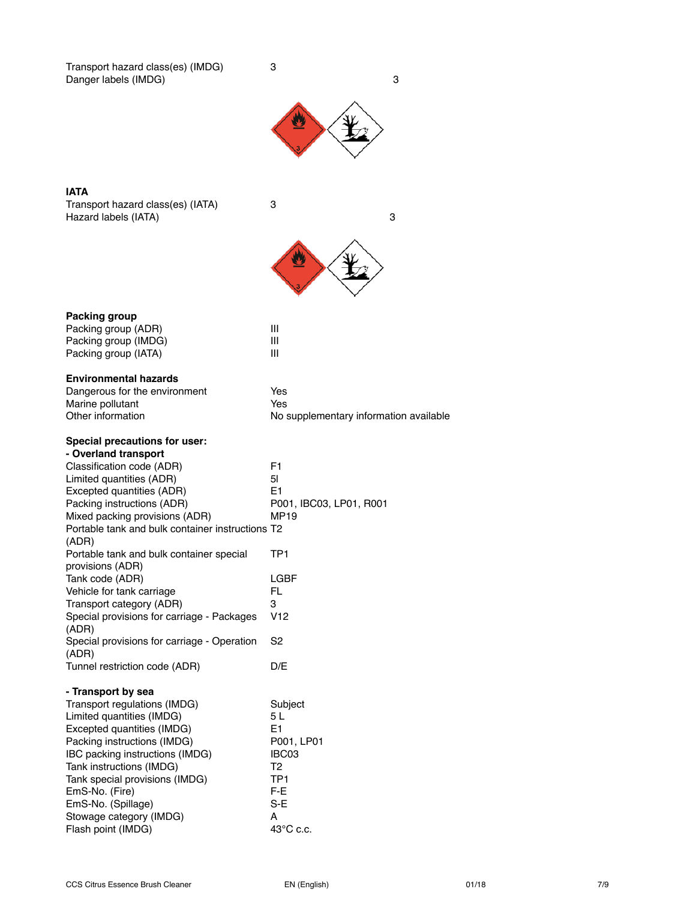Transport hazard class(es) (IMDG) 3 Danger labels (IMDG) 3



U

# **IATA**

Transport hazard class(es) (IATA) 3 Hazard labels (IATA) 3

| <b>Packing group</b>                             |                                        |
|--------------------------------------------------|----------------------------------------|
| Packing group (ADR)                              | Ш                                      |
| Packing group (IMDG)                             | Ш                                      |
| Packing group (IATA)                             | Ш                                      |
| <b>Environmental hazards</b>                     |                                        |
| Dangerous for the environment                    | Yes                                    |
| Marine pollutant                                 | Yes                                    |
| Other information                                | No supplementary information available |
| Special precautions for user:                    |                                        |
| - Overland transport                             |                                        |
| Classification code (ADR)                        | F <sub>1</sub>                         |
| Limited quantities (ADR)                         | 5 <sub>l</sub>                         |
| Excepted quantities (ADR)                        | E <sub>1</sub>                         |
| Packing instructions (ADR)                       | P001, IBC03, LP01, R001                |
| Mixed packing provisions (ADR)                   | <b>MP19</b>                            |
| Portable tank and bulk container instructions T2 |                                        |
| (ADR)                                            |                                        |
| Portable tank and bulk container special         | TP1                                    |
| provisions (ADR)                                 |                                        |
| Tank code (ADR)                                  | LGBF                                   |
| Vehicle for tank carriage                        | FL.                                    |
| Transport category (ADR)                         | 3                                      |
| Special provisions for carriage - Packages       | V <sub>12</sub>                        |
| (ADR)                                            |                                        |
| Special provisions for carriage - Operation      | S2                                     |
| (ADR)                                            |                                        |
| Tunnel restriction code (ADR)                    | D/E                                    |
| - Transport by sea                               |                                        |
| Transport regulations (IMDG)                     | Subject                                |
| Limited quantities (IMDG)                        | 5 L                                    |
| Excepted quantities (IMDG)                       | F <sub>1</sub>                         |
| Packing instructions (IMDG)                      | P001, LP01                             |
| IBC packing instructions (IMDG)                  | IBC03                                  |
| Tank instructions (IMDG)                         | T2                                     |
| Tank special provisions (IMDG)                   | TP <sub>1</sub>                        |
| EmS-No. (Fire)                                   | F-E                                    |
| EmS-No. (Spillage)                               | $S-E$                                  |
| Stowage category (IMDG)                          | A                                      |
| Flash point (IMDG)                               | $43^{\circ}$ C c.c.                    |
|                                                  |                                        |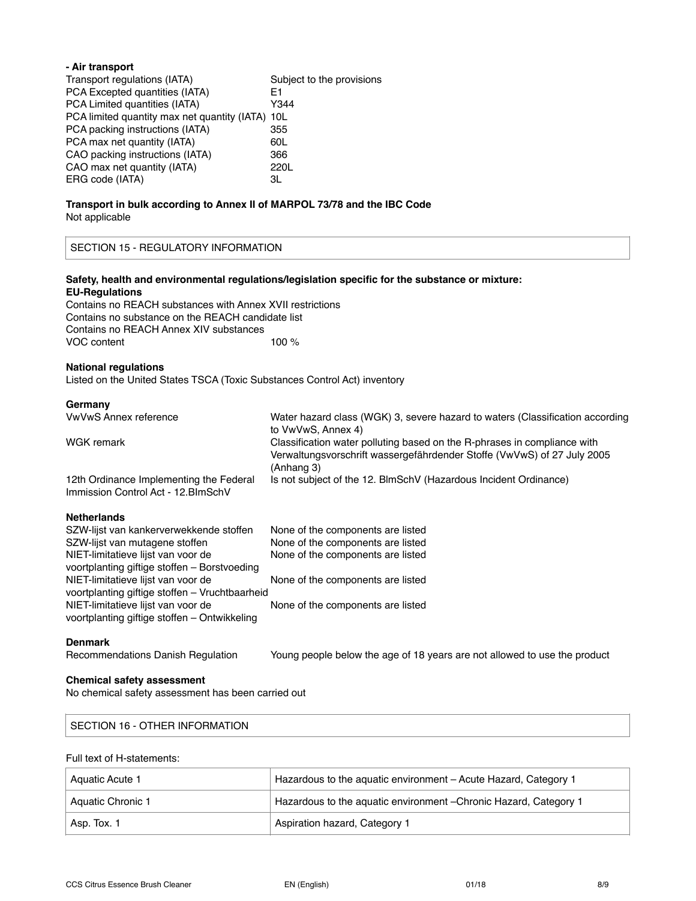| - Air transport                                                        |                           |
|------------------------------------------------------------------------|---------------------------|
| Transport regulations (IATA)                                           | Subject to the provisions |
| PCA Excepted quantities (IATA)                                         | E1                        |
| PCA Limited quantities (IATA)                                          | Y344                      |
| PCA limited quantity max net quantity (IATA) 10L                       |                           |
| PCA packing instructions (IATA)                                        | 355                       |
| PCA max net quantity (IATA)                                            | 60L                       |
| CAO packing instructions (IATA)                                        | 366                       |
| CAO max net quantity (IATA)                                            | 220L                      |
| ERG code (IATA)                                                        | ЗL                        |
| Transport in bulk according to Annex II of MARPOL 73/78 and the IBC Co |                           |

# **Ik according to Annex II of MARPOL 73/78 and the IBC Code** Not applicable

SECTION 15 - REGULATORY INFORMATION

### **Safety, health and environmental regulations/legislation specific for the substance or mixture: EU-Regulations**

Contains no REACH substances with Annex XVII restrictions Contains no substance on the REACH candidate list Contains no REACH Annex XIV substances VOC content 100 %

#### **National regulations**

Listed on the United States TSCA (Toxic Substances Control Act) inventory

#### **Germany**

| VwVwS Annex reference                                                          | Water hazard class (WGK) 3, severe hazard to waters (Classification according         |
|--------------------------------------------------------------------------------|---------------------------------------------------------------------------------------|
|                                                                                | to VwVwS, Annex 4)                                                                    |
| WGK remark                                                                     | Classification water polluting based on the R-phrases in compliance with              |
|                                                                                | Verwaltungsvorschrift wassergefährdender Stoffe (VwVwS) of 27 July 2005<br>(Anhang 3) |
| 12th Ordinance Implementing the Federal<br>Immission Control Act - 12. BlmSchV | Is not subject of the 12. BlmSchV (Hazardous Incident Ordinance)                      |

#### **Netherlands**

| SZW-lijst van kankerverwekkende stoffen        | None of the components are listed |
|------------------------------------------------|-----------------------------------|
| SZW-lijst van mutagene stoffen                 | None of the components are listed |
| NIET-limitatieve lijst van voor de             | None of the components are listed |
| voortplanting giftige stoffen - Borstvoeding   |                                   |
| NIET-limitatieve lijst van voor de             | None of the components are listed |
| voortplanting giftige stoffen - Vruchtbaarheid |                                   |
| NIET-limitatieve lijst van voor de             | None of the components are listed |
| voortplanting giftige stoffen - Ontwikkeling   |                                   |

#### **Denmark**

Recommendations Danish Regulation Young people below the age of 18 years are not allowed to use the product

#### **Chemical safety assessment**

No chemical safety assessment has been carried out

# SECTION 16 - OTHER INFORMATION

# Full text of H-statements:

| Aquatic Acute 1   | Hazardous to the aquatic environment - Acute Hazard, Category 1   |
|-------------------|-------------------------------------------------------------------|
| Aquatic Chronic 1 | Hazardous to the aquatic environment - Chronic Hazard, Category 1 |
| Asp. Tox. 1       | Aspiration hazard, Category 1                                     |